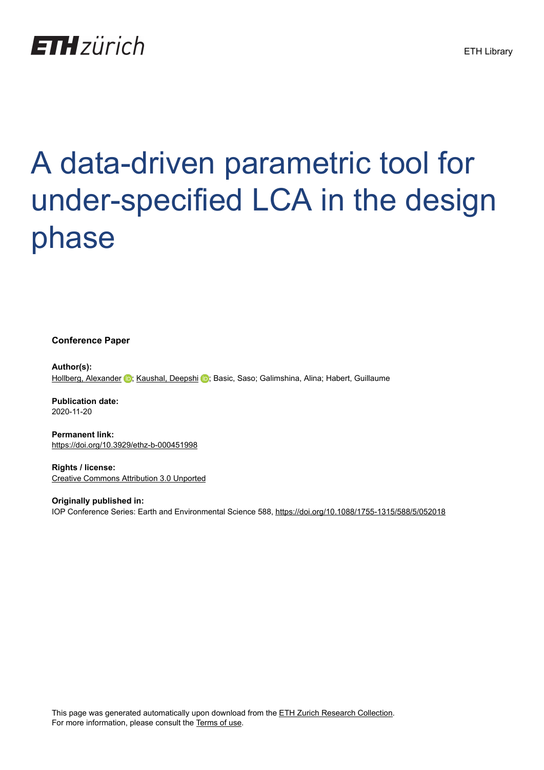## **ETH**zürich

# A data-driven parametric tool for under-specified LCA in the design phase

**Conference Paper**

**Author(s):** [Hollberg, Alexander](https://orcid.org/0000-0002-9756-2362) iD; [Kaushal, Deepshi](https://orcid.org/0000-0002-2069-608X) iD; Basic, Saso; Galimshina, Alina; Habert, Guillaume

**Publication date:** 2020-11-20

**Permanent link:** <https://doi.org/10.3929/ethz-b-000451998>

**Rights / license:** [Creative Commons Attribution 3.0 Unported](http://creativecommons.org/licenses/by/3.0/)

**Originally published in:** IOP Conference Series: Earth and Environmental Science 588, <https://doi.org/10.1088/1755-1315/588/5/052018>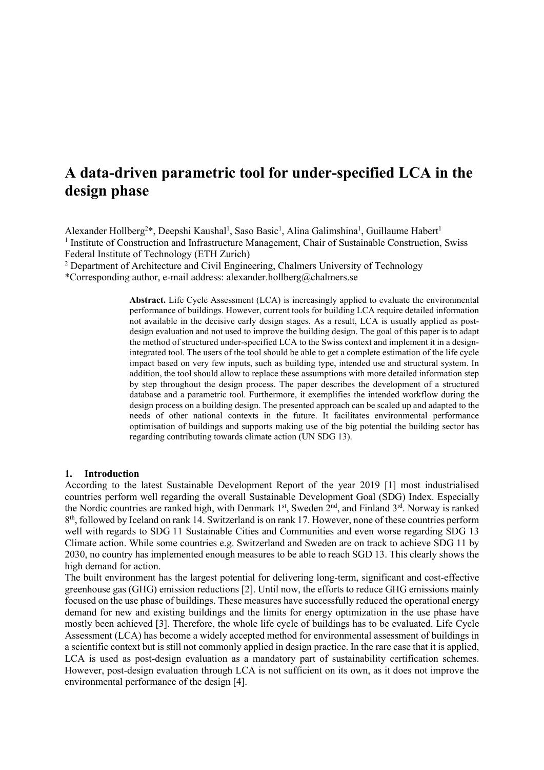### **A data-driven parametric tool for under-specified LCA in the design phase**

Alexander Hollberg<sup>2\*</sup>, Deepshi Kaushal<sup>1</sup>, Saso Basic<sup>1</sup>, Alina Galimshina<sup>1</sup>, Guillaume Habert<sup>1</sup> <sup>1</sup> Institute of Construction and Infrastructure Management, Chair of Sustainable Construction, Swiss Federal Institute of Technology (ETH Zurich)

<sup>2</sup> Department of Architecture and Civil Engineering, Chalmers University of Technology

\*Corresponding author, e-mail address: alexander.hollberg@chalmers.se

**Abstract.** Life Cycle Assessment (LCA) is increasingly applied to evaluate the environmental performance of buildings. However, current tools for building LCA require detailed information not available in the decisive early design stages. As a result, LCA is usually applied as postdesign evaluation and not used to improve the building design. The goal of this paper is to adapt the method of structured under-specified LCA to the Swiss context and implement it in a designintegrated tool. The users of the tool should be able to get a complete estimation of the life cycle impact based on very few inputs, such as building type, intended use and structural system. In addition, the tool should allow to replace these assumptions with more detailed information step by step throughout the design process. The paper describes the development of a structured database and a parametric tool. Furthermore, it exemplifies the intended workflow during the design process on a building design. The presented approach can be scaled up and adapted to the needs of other national contexts in the future. It facilitates environmental performance optimisation of buildings and supports making use of the big potential the building sector has regarding contributing towards climate action (UN SDG 13).

#### **1. Introduction**

According to the latest Sustainable Development Report of the year 2019 [1] most industrialised countries perform well regarding the overall Sustainable Development Goal (SDG) Index. Especially the Nordic countries are ranked high, with Denmark 1<sup>st</sup>, Sweden 2<sup>nd</sup>, and Finland 3<sup>rd</sup>. Norway is ranked 8<sup>th</sup>, followed by Iceland on rank 14. Switzerland is on rank 17. However, none of these countries perform well with regards to SDG 11 Sustainable Cities and Communities and even worse regarding SDG 13 Climate action. While some countries e.g. Switzerland and Sweden are on track to achieve SDG 11 by 2030, no country has implemented enough measures to be able to reach SGD 13. This clearly shows the high demand for action.

The built environment has the largest potential for delivering long-term, significant and cost-effective greenhouse gas (GHG) emission reductions [2]. Until now, the efforts to reduce GHG emissions mainly focused on the use phase of buildings. These measures have successfully reduced the operational energy demand for new and existing buildings and the limits for energy optimization in the use phase have mostly been achieved [3]. Therefore, the whole life cycle of buildings has to be evaluated. Life Cycle Assessment (LCA) has become a widely accepted method for environmental assessment of buildings in a scientific context but is still not commonly applied in design practice. In the rare case that it is applied, LCA is used as post-design evaluation as a mandatory part of sustainability certification schemes. However, post-design evaluation through LCA is not sufficient on its own, as it does not improve the environmental performance of the design [4].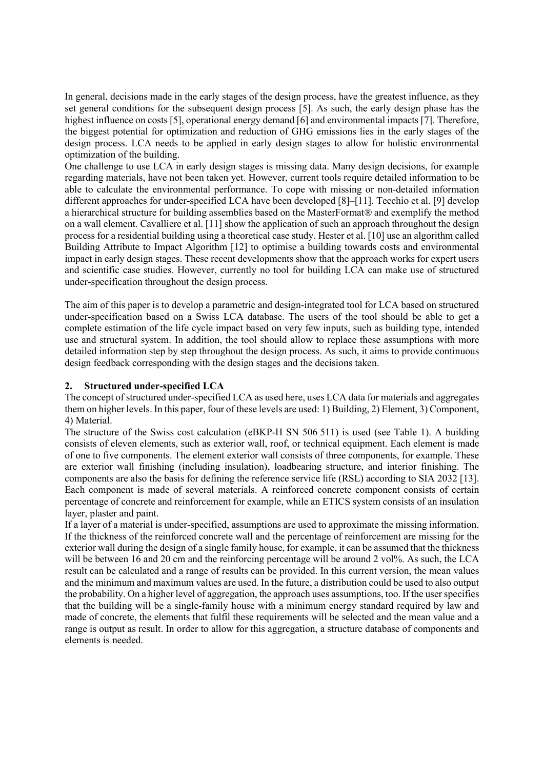In general, decisions made in the early stages of the design process, have the greatest influence, as they set general conditions for the subsequent design process [5]. As such, the early design phase has the highest influence on costs [5], operational energy demand [6] and environmental impacts [7]. Therefore, the biggest potential for optimization and reduction of GHG emissions lies in the early stages of the design process. LCA needs to be applied in early design stages to allow for holistic environmental optimization of the building.

One challenge to use LCA in early design stages is missing data. Many design decisions, for example regarding materials, have not been taken yet. However, current tools require detailed information to be able to calculate the environmental performance. To cope with missing or non-detailed information different approaches for under-specified LCA have been developed [8]–[11]. Tecchio et al. [9] develop a hierarchical structure for building assemblies based on the MasterFormat® and exemplify the method on a wall element. Cavalliere et al. [11] show the application of such an approach throughout the design process for a residential building using a theoretical case study. Hester et al. [10] use an algorithm called Building Attribute to Impact Algorithm [12] to optimise a building towards costs and environmental impact in early design stages. These recent developments show that the approach works for expert users and scientific case studies. However, currently no tool for building LCA can make use of structured under-specification throughout the design process.

The aim of this paper is to develop a parametric and design-integrated tool for LCA based on structured under-specification based on a Swiss LCA database. The users of the tool should be able to get a complete estimation of the life cycle impact based on very few inputs, such as building type, intended use and structural system. In addition, the tool should allow to replace these assumptions with more detailed information step by step throughout the design process. As such, it aims to provide continuous design feedback corresponding with the design stages and the decisions taken.

#### **2. Structured under-specified LCA**

The concept of structured under-specified LCA as used here, uses LCA data for materials and aggregates them on higher levels. In this paper, four of these levels are used: 1) Building, 2) Element, 3) Component, 4) Material.

The structure of the Swiss cost calculation (eBKP-H SN 506 511) is used (see [Table 1\)](#page-3-0). A building consists of eleven elements, such as exterior wall, roof, or technical equipment. Each element is made of one to five components. The element exterior wall consists of three components, for example. These are exterior wall finishing (including insulation), loadbearing structure, and interior finishing. The components are also the basis for defining the reference service life (RSL) according to SIA 2032 [13]. Each component is made of several materials. A reinforced concrete component consists of certain percentage of concrete and reinforcement for example, while an ETICS system consists of an insulation layer, plaster and paint.

If a layer of a material is under-specified, assumptions are used to approximate the missing information. If the thickness of the reinforced concrete wall and the percentage of reinforcement are missing for the exterior wall during the design of a single family house, for example, it can be assumed that the thickness will be between 16 and 20 cm and the reinforcing percentage will be around 2 vol%. As such, the LCA result can be calculated and a range of results can be provided. In this current version, the mean values and the minimum and maximum values are used. In the future, a distribution could be used to also output the probability. On a higher level of aggregation, the approach uses assumptions, too. If the user specifies that the building will be a single-family house with a minimum energy standard required by law and made of concrete, the elements that fulfil these requirements will be selected and the mean value and a range is output as result. In order to allow for this aggregation, a structure database of components and elements is needed.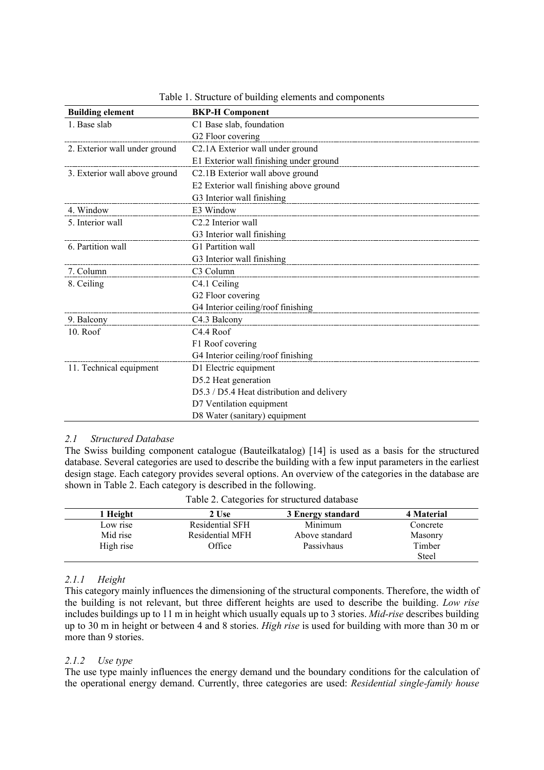<span id="page-3-0"></span>

| <b>Building element</b>       | <b>BKP-H Component</b>                     |
|-------------------------------|--------------------------------------------|
| 1. Base slab                  | C1 Base slab, foundation                   |
|                               | G2 Floor covering                          |
| 2. Exterior wall under ground | C2.1A Exterior wall under ground           |
|                               | E1 Exterior wall finishing under ground    |
| 3. Exterior wall above ground | C2.1B Exterior wall above ground           |
|                               | E2 Exterior wall finishing above ground    |
|                               | G3 Interior wall finishing                 |
| 4. Window                     | E3 Window                                  |
| 5. Interior wall              | C <sub>2.2</sub> Interior wall             |
|                               | G3 Interior wall finishing                 |
| 6. Partition wall             | G1 Partition wall                          |
|                               | G3 Interior wall finishing                 |
| 7. Column                     | C3 Column                                  |
| 8. Ceiling                    | C4.1 Ceiling                               |
|                               | G2 Floor covering                          |
|                               |                                            |
| 9. Balcony                    | C4.3 Balcony                               |
| $10.$ Roof                    | C <sub>4.4</sub> Roof                      |
|                               | F1 Roof covering                           |
|                               | G4 Interior ceiling/roof finishing         |
| 11. Technical equipment       | D1 Electric equipment                      |
|                               | D5.2 Heat generation                       |
|                               | D5.3 / D5.4 Heat distribution and delivery |
|                               | D7 Ventilation equipment                   |
|                               | D8 Water (sanitary) equipment              |

Table 1. Structure of building elements and components

#### *2.1 Structured Database*

The Swiss building component catalogue (Bauteilkatalog) [14] is used as a basis for the structured database. Several categories are used to describe the building with a few input parameters in the earliest design stage. Each category provides several options. An overview of the categories in the database are shown i[n Table 2.](#page-3-1) Each category is described in the following.

|  | Table 2. Categories for structured database |  |  |  |
|--|---------------------------------------------|--|--|--|
|--|---------------------------------------------|--|--|--|

<span id="page-3-1"></span>

| 1 Height  | 2 Use           | 3 Energy standard | 4 Material |
|-----------|-----------------|-------------------|------------|
| Low rise  | Residential SFH | Minimum           | Concrete   |
| Mid rise  | Residential MFH | Above standard    | Masonry    |
| High rise | Office          | Passivhaus        | Timber     |
|           |                 |                   | Steel      |

#### *2.1.1 Height*

This category mainly influences the dimensioning of the structural components. Therefore, the width of the building is not relevant, but three different heights are used to describe the building. *Low rise* includes buildings up to 11 m in height which usually equals up to 3 stories. *Mid-rise* describes building up to 30 m in height or between 4 and 8 stories. *High rise* is used for building with more than 30 m or more than 9 stories.

#### *2.1.2 Use type*

The use type mainly influences the energy demand und the boundary conditions for the calculation of the operational energy demand. Currently, three categories are used: *Residential single-family house*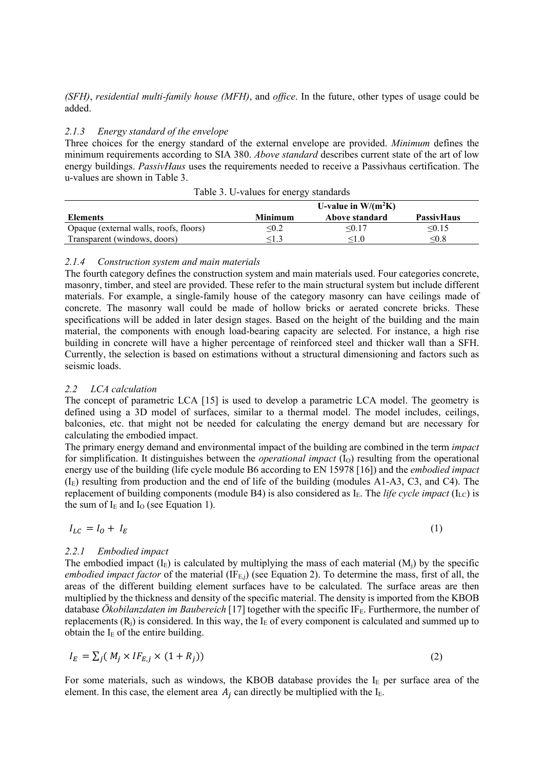*(SFH)*, *residential multi-family house (MFH)*, and *office*. In the future, other types of usage could be added.

#### *2.1.3 Energy standard of the envelope*

Three choices for the energy standard of the external envelope are provided. *Minimum* defines the minimum requirements according to SIA 380. *Above standard* describes current state of the art of low energy buildings. *PassivHaus* uses the requirements needed to receive a Passivhaus certification. The u-values are shown in [Table 3.](#page-4-0)

<span id="page-4-0"></span>

|                                        | U-value in $W/(m^2K)$ |                |                   |
|----------------------------------------|-----------------------|----------------|-------------------|
| <b>Elements</b>                        | <b>Minimum</b>        | Above standard | <b>PassivHaus</b> |
| Opaque (external walls, roofs, floors) | ≤ $0.2$               | ≤0.17          | < 0.15            |
| Transparent (windows, doors)           | 1.3                   | ≤1.0           | $<$ 0.8 $\,$      |

Table 3. U-values for energy standards

#### *2.1.4 Construction system and main materials*

The fourth category defines the construction system and main materials used. Four categories concrete, masonry, timber, and steel are provided. These refer to the main structural system but include different materials. For example, a single-family house of the category masonry can have ceilings made of concrete. The masonry wall could be made of hollow bricks or aerated concrete bricks. These specifications will be added in later design stages. Based on the height of the building and the main material, the components with enough load-bearing capacity are selected. For instance, a high rise building in concrete will have a higher percentage of reinforced steel and thicker wall than a SFH. Currently, the selection is based on estimations without a structural dimensioning and factors such as seismic loads.

#### *2.2 LCA calculation*

The concept of parametric LCA [15] is used to develop a parametric LCA model. The geometry is defined using a 3D model of surfaces, similar to a thermal model. The model includes, ceilings, balconies, etc. that might not be needed for calculating the energy demand but are necessary for calculating the embodied impact.

The primary energy demand and environmental impact of the building are combined in the term *impact* for simplification. It distinguishes between the *operational impact* (I<sub>O</sub>) resulting from the operational energy use of the building (life cycle module B6 according to EN 15978 [16]) and the *embodied impact*  $(I<sub>E</sub>)$  resulting from production and the end of life of the building (modules A1-A3, C3, and C4). The replacement of building components (module B4) is also considered as I<sub>E</sub>. The *life cycle impact* (I<sub>LC</sub>) is the sum of  $I<sub>E</sub>$  and  $I<sub>O</sub>$  (see Equation 1).

$$
I_{LC} = I_0 + I_E \tag{1}
$$

#### *2.2.1 Embodied impact*

The embodied impact  $(I<sub>E</sub>)$  is calculated by multiplying the mass of each material  $(M<sub>i</sub>)$  by the specific *embodied impact factor* of the material (IF<sub>E,j</sub>) (see Equation 2). To determine the mass, first of all, the areas of the different building element surfaces have to be calculated. The surface areas are then multiplied by the thickness and density of the specific material. The density is imported from the KBOB database *Ökobilanzdaten im Baubereich* [17] together with the specific IF<sub>E</sub>. Furthermore, the number of replacements  $(R_i)$  is considered. In this way, the  $I_E$  of every component is calculated and summed up to obtain the  $I<sub>E</sub>$  of the entire building.

$$
I_E = \sum_j (M_j \times I F_{E,j} \times (1 + R_j))
$$
\n(2)

For some materials, such as windows, the KBOB database provides the I<sub>E</sub> per surface area of the element. In this case, the element area  $A_i$  can directly be multiplied with the I<sub>E</sub>.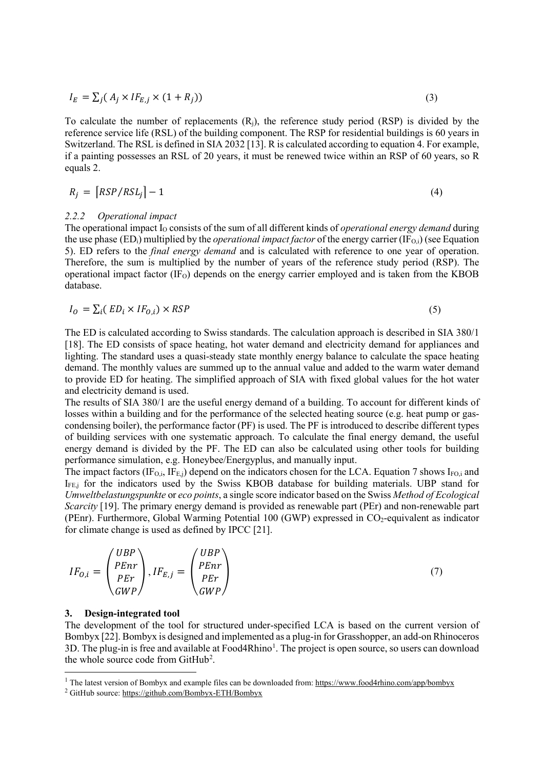$$
I_E = \sum_j (A_j \times IF_{E,j} \times (1 + R_j))
$$
\n(3)

To calculate the number of replacements  $(R<sub>i</sub>)$ , the reference study period (RSP) is divided by the reference service life (RSL) of the building component. The RSP for residential buildings is 60 years in Switzerland. The RSL is defined in SIA 2032 [13]. R is calculated according to equation 4. For example, if a painting possesses an RSL of 20 years, it must be renewed twice within an RSP of 60 years, so R equals 2.

$$
R_j = \left[ RSP/RSL_j \right] - 1 \tag{4}
$$

#### *2.2.2 Operational impact*

The operational impact  $I_0$  consists of the sum of all different kinds of *operational energy demand* during the use phase  $(ED<sub>i</sub>)$  multiplied by the *operational impact factor* of the energy carrier  $(IF<sub>O,i</sub>)$  (see Equation 5). ED refers to the *final energy demand* and is calculated with reference to one year of operation. Therefore, the sum is multiplied by the number of years of the reference study period (RSP). The operational impact factor  $(F<sub>0</sub>)$  depends on the energy carrier employed and is taken from the KBOB database.

$$
I_0 = \sum_i (ED_i \times IF_{0,i}) \times RSP
$$
\n<sup>(5)</sup>

The ED is calculated according to Swiss standards. The calculation approach is described in SIA 380/1 [18]. The ED consists of space heating, hot water demand and electricity demand for appliances and lighting. The standard uses a quasi-steady state monthly energy balance to calculate the space heating demand. The monthly values are summed up to the annual value and added to the warm water demand to provide ED for heating. The simplified approach of SIA with fixed global values for the hot water and electricity demand is used.

The results of SIA 380/1 are the useful energy demand of a building. To account for different kinds of losses within a building and for the performance of the selected heating source (e.g. heat pump or gascondensing boiler), the performance factor (PF) is used. The PF is introduced to describe different types of building services with one systematic approach. To calculate the final energy demand, the useful energy demand is divided by the PF. The ED can also be calculated using other tools for building performance simulation, e.g. Honeybee/Energyplus, and manually input.

The impact factors (IF<sub>O,i</sub>, IF<sub>E,j</sub>) depend on the indicators chosen for the LCA. Equation 7 shows I<sub>FO,i</sub> and IFE<sub>,j</sub> for the indicators used by the Swiss KBOB database for building materials. UBP stand for *Umweltbelastungspunkte* or *eco points*, a single score indicator based on the Swiss *Method of Ecological Scarcity* [19]. The primary energy demand is provided as renewable part (PEr) and non-renewable part (PEnr). Furthermore, Global Warming Potential 100 (GWP) expressed in CO<sub>2</sub>-equivalent as indicator for climate change is used as defined by IPCC [21].

$$
IF_{O,i} = \begin{pmatrix} UBP \\ PEnr \\ PEr \\ GWP \end{pmatrix}, IF_{E,j} = \begin{pmatrix} UBP \\ PEnr \\ PEr \\ GWP \end{pmatrix}
$$
 (7)

#### **3. Design-integrated tool**

The development of the tool for structured under-specified LCA is based on the current version of Bombyx [22]. Bombyx is designed and implemented as a plug-in for Grasshopper, an add-on Rhinoceros 3D. The plug-in is free and available at Food4Rhino<sup>[1](#page-5-0)</sup>. The project is open source, so users can download the whole source code from GitHub<sup>[2](#page-5-1)</sup>.

<span id="page-5-0"></span><sup>&</sup>lt;sup>1</sup> The latest version of Bombyx and example files can be downloaded from[: https://www.food4rhino.com/app/bombyx](https://www.food4rhino.com/app/bombyx)

<span id="page-5-1"></span><sup>2</sup> GitHub source:<https://github.com/Bombyx-ETH/Bombyx>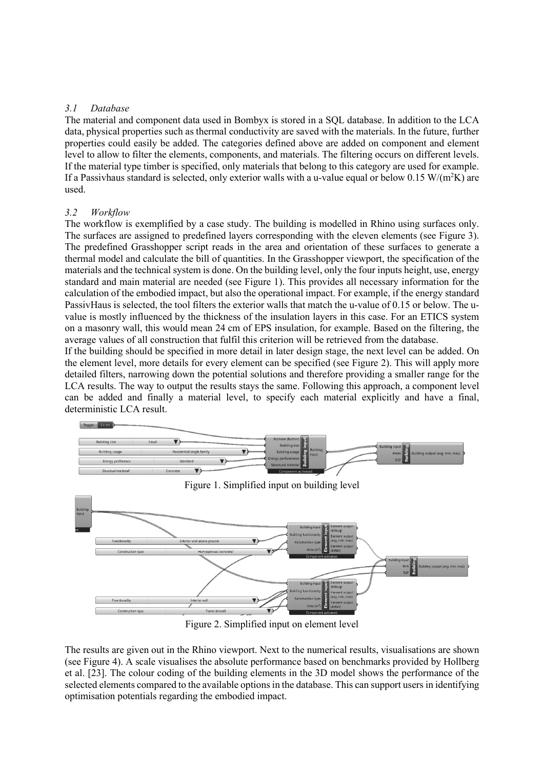#### *3.1 Database*

The material and component data used in Bombyx is stored in a SQL database. In addition to the LCA data, physical properties such as thermal conductivity are saved with the materials. In the future, further properties could easily be added. The categories defined above are added on component and element level to allow to filter the elements, components, and materials. The filtering occurs on different levels. If the material type timber is specified, only materials that belong to this category are used for example. If a Passivhaus standard is selected, only exterior walls with a u-value equal or below  $0.15 \text{ W/(m}^2\text{K})$  are used.

#### *3.2 Workflow*

The workflow is exemplified by a case study. The building is modelled in Rhino using surfaces only. The surfaces are assigned to predefined layers corresponding with the eleven elements (see [Figure 3\)](#page-7-0). The predefined Grasshopper script reads in the area and orientation of these surfaces to generate a thermal model and calculate the bill of quantities. In the Grasshopper viewport, the specification of the materials and the technical system is done. On the building level, only the four inputs height, use, energy standard and main material are needed (see [Figure 1\)](#page-6-0). This provides all necessary information for the calculation of the embodied impact, but also the operational impact. For example, if the energy standard PassivHaus is selected, the tool filters the exterior walls that match the u-value of 0.15 or below. The uvalue is mostly influenced by the thickness of the insulation layers in this case. For an ETICS system on a masonry wall, this would mean 24 cm of EPS insulation, for example. Based on the filtering, the average values of all construction that fulfil this criterion will be retrieved from the database.

If the building should be specified in more detail in later design stage, the next level can be added. On the element level, more details for every element can be specified (see [Figure 2\)](#page-6-1). This will apply more detailed filters, narrowing down the potential solutions and therefore providing a smaller range for the LCA results. The way to output the results stays the same. Following this approach, a component level can be added and finally a material level, to specify each material explicitly and have a final, deterministic LCA result.



<span id="page-6-0"></span>

Figure 2. Simplified input on element level

<span id="page-6-1"></span>The results are given out in the Rhino viewport. Next to the numerical results, visualisations are shown (see [Figure 4\)](#page-7-1). A scale visualises the absolute performance based on benchmarks provided by Hollberg et al. [23]. The colour coding of the building elements in the 3D model shows the performance of the selected elements compared to the available options in the database. This can support users in identifying optimisation potentials regarding the embodied impact.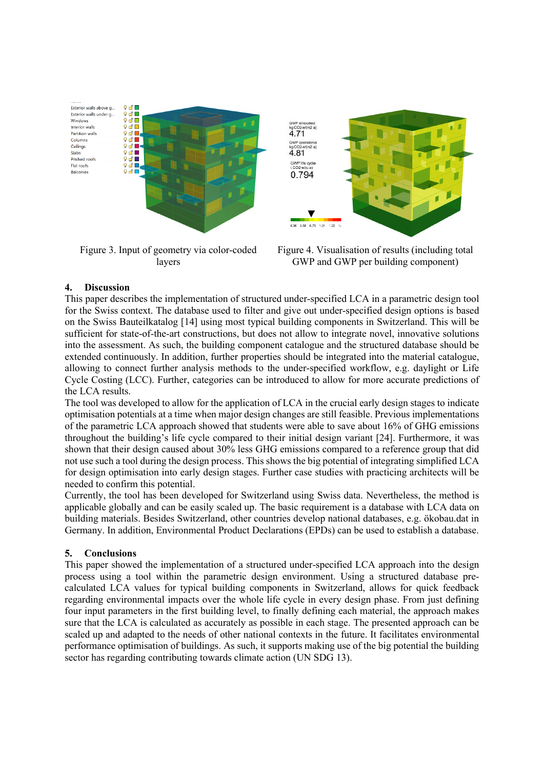

<span id="page-7-0"></span>Figure 3. Input of geometry via color-coded layers



<span id="page-7-1"></span>Figure 4. Visualisation of results (including total GWP and GWP per building component)

#### **4. Discussion**

This paper describes the implementation of structured under-specified LCA in a parametric design tool for the Swiss context. The database used to filter and give out under-specified design options is based on the Swiss Bauteilkatalog [14] using most typical building components in Switzerland. This will be sufficient for state-of-the-art constructions, but does not allow to integrate novel, innovative solutions into the assessment. As such, the building component catalogue and the structured database should be extended continuously. In addition, further properties should be integrated into the material catalogue, allowing to connect further analysis methods to the under-specified workflow, e.g. daylight or Life Cycle Costing (LCC). Further, categories can be introduced to allow for more accurate predictions of the LCA results.

The tool was developed to allow for the application of LCA in the crucial early design stages to indicate optimisation potentials at a time when major design changes are still feasible. Previous implementations of the parametric LCA approach showed that students were able to save about 16% of GHG emissions throughout the building's life cycle compared to their initial design variant [24]. Furthermore, it was shown that their design caused about 30% less GHG emissions compared to a reference group that did not use such a tool during the design process. This shows the big potential of integrating simplified LCA for design optimisation into early design stages. Further case studies with practicing architects will be needed to confirm this potential.

Currently, the tool has been developed for Switzerland using Swiss data. Nevertheless, the method is applicable globally and can be easily scaled up. The basic requirement is a database with LCA data on building materials. Besides Switzerland, other countries develop national databases, e.g. ökobau.dat in Germany. In addition, Environmental Product Declarations (EPDs) can be used to establish a database.

#### **5. Conclusions**

This paper showed the implementation of a structured under-specified LCA approach into the design process using a tool within the parametric design environment. Using a structured database precalculated LCA values for typical building components in Switzerland, allows for quick feedback regarding environmental impacts over the whole life cycle in every design phase. From just defining four input parameters in the first building level, to finally defining each material, the approach makes sure that the LCA is calculated as accurately as possible in each stage. The presented approach can be scaled up and adapted to the needs of other national contexts in the future. It facilitates environmental performance optimisation of buildings. As such, it supports making use of the big potential the building sector has regarding contributing towards climate action (UN SDG 13).